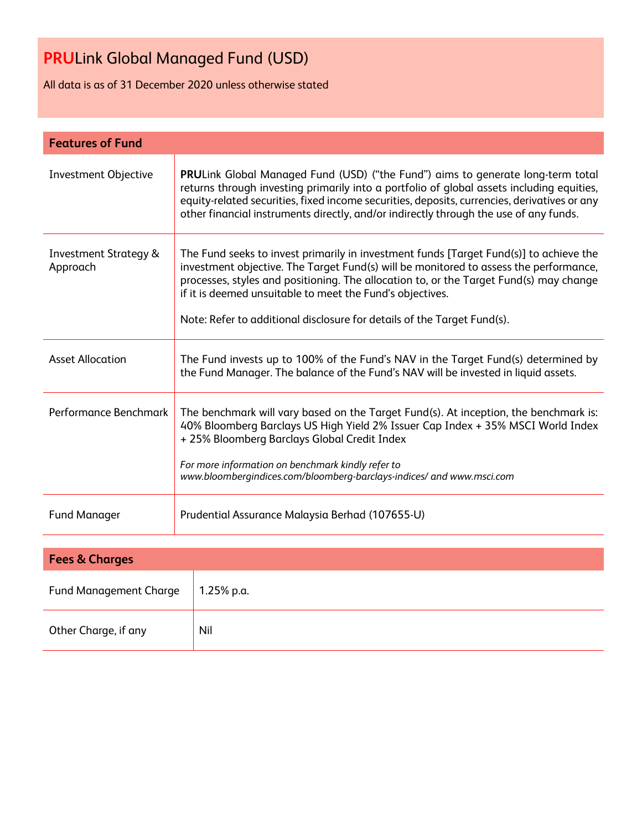All data is as of 31 December 2020 unless otherwise stated

| <b>Features of Fund</b>                      |                                                                                                                                                                                                                                                                                                                                                                                                                   |  |  |  |
|----------------------------------------------|-------------------------------------------------------------------------------------------------------------------------------------------------------------------------------------------------------------------------------------------------------------------------------------------------------------------------------------------------------------------------------------------------------------------|--|--|--|
| <b>Investment Objective</b>                  | PRULink Global Managed Fund (USD) ("the Fund") aims to generate long-term total<br>returns through investing primarily into a portfolio of global assets including equities,<br>equity-related securities, fixed income securities, deposits, currencies, derivatives or any<br>other financial instruments directly, and/or indirectly through the use of any funds.                                             |  |  |  |
| <b>Investment Strategy &amp;</b><br>Approach | The Fund seeks to invest primarily in investment funds [Target Fund(s)] to achieve the<br>investment objective. The Target Fund(s) will be monitored to assess the performance,<br>processes, styles and positioning. The allocation to, or the Target Fund(s) may change<br>if it is deemed unsuitable to meet the Fund's objectives.<br>Note: Refer to additional disclosure for details of the Target Fund(s). |  |  |  |
| <b>Asset Allocation</b>                      | The Fund invests up to 100% of the Fund's NAV in the Target Fund(s) determined by<br>the Fund Manager. The balance of the Fund's NAV will be invested in liquid assets.                                                                                                                                                                                                                                           |  |  |  |
| Performance Benchmark                        | The benchmark will vary based on the Target Fund(s). At inception, the benchmark is:<br>40% Bloomberg Barclays US High Yield 2% Issuer Cap Index + 35% MSCI World Index<br>+25% Bloomberg Barclays Global Credit Index<br>For more information on benchmark kindly refer to<br>www.bloombergindices.com/bloomberg-barclays-indices/ and www.msci.com                                                              |  |  |  |
| <b>Fund Manager</b>                          | Prudential Assurance Malaysia Berhad (107655-U)                                                                                                                                                                                                                                                                                                                                                                   |  |  |  |
|                                              |                                                                                                                                                                                                                                                                                                                                                                                                                   |  |  |  |
| <b>Fees &amp; Charges</b>                    |                                                                                                                                                                                                                                                                                                                                                                                                                   |  |  |  |
| <b>Fund Management Charge</b>                | 1.25% p.a.                                                                                                                                                                                                                                                                                                                                                                                                        |  |  |  |

| Other Charge, if any | Nil |
|----------------------|-----|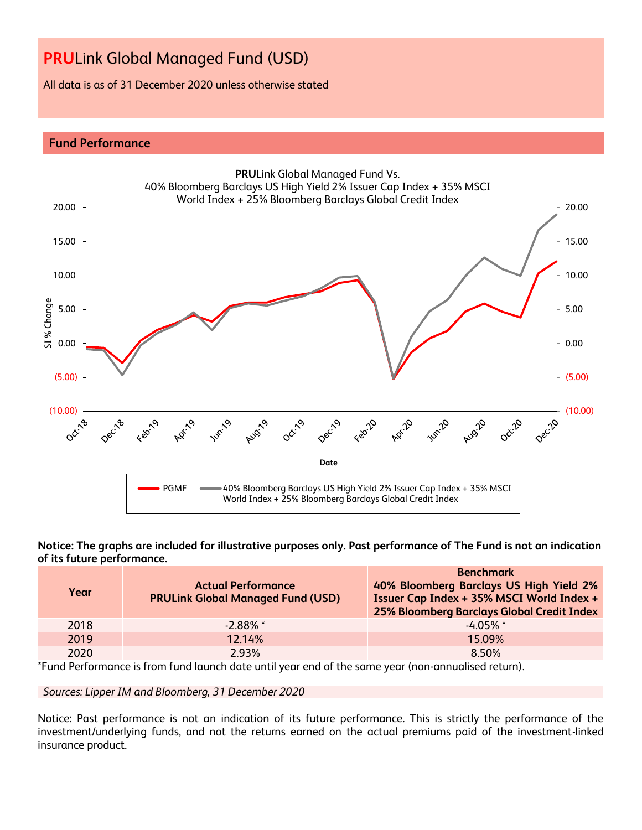All data is as of 31 December 2020 unless otherwise stated

## **Fund Performance**



**Notice: The graphs are included for illustrative purposes only. Past performance of The Fund is not an indication of its future performance.**

| Year | <b>Actual Performance</b><br><b>PRULink Global Managed Fund (USD)</b> | <b>Benchmark</b><br>40% Bloomberg Barclays US High Yield 2%<br>Issuer Cap Index + 35% MSCI World Index +<br>25% Bloomberg Barclays Global Credit Index |
|------|-----------------------------------------------------------------------|--------------------------------------------------------------------------------------------------------------------------------------------------------|
| 2018 | $-2.88\%$ *                                                           | $-4.05\%$ *                                                                                                                                            |
| 2019 | 12.14%                                                                | 15.09%                                                                                                                                                 |
| 2020 | 2.93%                                                                 | 8.50%                                                                                                                                                  |

\*Fund Performance is from fund launch date until year end of the same year (non-annualised return).

*Sources: Lipper IM and Bloomberg, 31 December 2020*

Notice: Past performance is not an indication of its future performance. This is strictly the performance of the investment/underlying funds, and not the returns earned on the actual premiums paid of the investment-linked insurance product.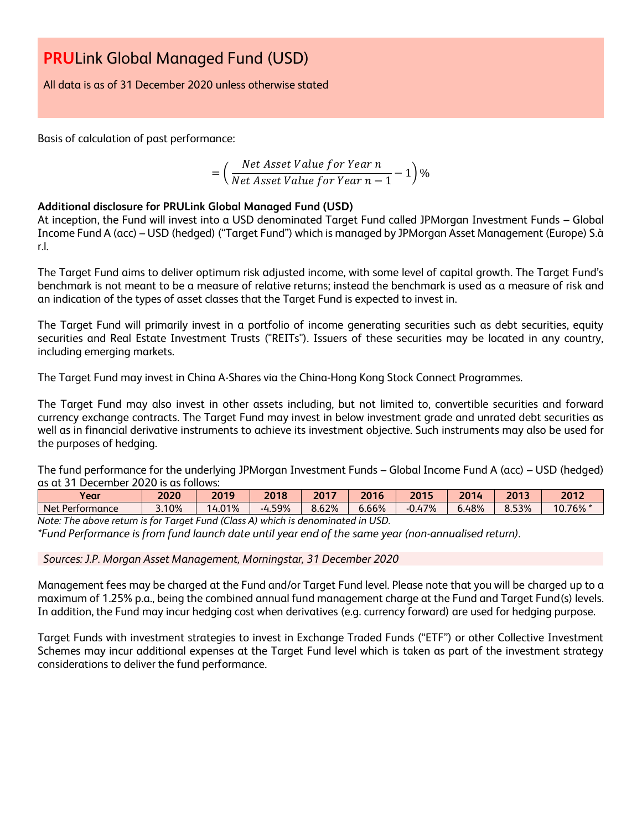All data is as of 31 December 2020 unless otherwise stated

Basis of calculation of past performance:

$$
= \left(\frac{Net\ Asset\ Value\ for\ Year\ n}{Net\ Asset\ Value\ for\ Year\ n-1} - 1\right)\%
$$

## **Additional disclosure for PRULink Global Managed Fund (USD)**

At inception, the Fund will invest into a USD denominated Target Fund called JPMorgan Investment Funds – Global Income Fund A (acc) – USD (hedged) ("Target Fund") which is managed by JPMorgan Asset Management (Europe) S.à r.l.

The Target Fund aims to deliver optimum risk adjusted income, with some level of capital growth. The Target Fund's benchmark is not meant to be a measure of relative returns; instead the benchmark is used as a measure of risk and an indication of the types of asset classes that the Target Fund is expected to invest in.

The Target Fund will primarily invest in a portfolio of income generating securities such as debt securities, equity securities and Real Estate Investment Trusts ("REITs"). Issuers of these securities may be located in any country, including emerging markets.

The Target Fund may invest in China A-Shares via the China-Hong Kong Stock Connect Programmes.

The Target Fund may also invest in other assets including, but not limited to, convertible securities and forward currency exchange contracts. The Target Fund may invest in below investment grade and unrated debt securities as well as in financial derivative instruments to achieve its investment objective. Such instruments may also be used for the purposes of hedging.

The fund performance for the underlying JPMorgan Investment Funds – Global Income Fund A (acc) – USD (hedged) as at 31 December 2020 is as follows:

| $\mathbf{z}$<br>Year        | 2020  | 2019         | 2018   | 2017  | 2016            | 2015         | 2011<br>. .<br>ΖU | 2013  | 2012   |
|-----------------------------|-------|--------------|--------|-------|-----------------|--------------|-------------------|-------|--------|
| <b>Net</b><br>t Performance | 3.10% | 01%<br>14.0. | -4.59% | 8.62% | 6.66%           | 7%<br>$-0.4$ | 6.48%             | 8.53% | 10.76% |
| ÷<br>$\cdots$               |       | $\sqrt{2}$   |        |       | 10 <sub>2</sub> |              |                   |       |        |

*Note: The above return is for Target Fund (Class A) which is denominated in USD. \*Fund Performance is from fund launch date until year end of the same year (non-annualised return).*

*Sources: J.P. Morgan Asset Management, Morningstar, 31 December 2020*

Management fees may be charged at the Fund and/or Target Fund level. Please note that you will be charged up to a maximum of 1.25% p.a., being the combined annual fund management charge at the Fund and Target Fund(s) levels. In addition, the Fund may incur hedging cost when derivatives (e.g. currency forward) are used for hedging purpose.

Target Funds with investment strategies to invest in Exchange Traded Funds ("ETF") or other Collective Investment Schemes may incur additional expenses at the Target Fund level which is taken as part of the investment strategy considerations to deliver the fund performance.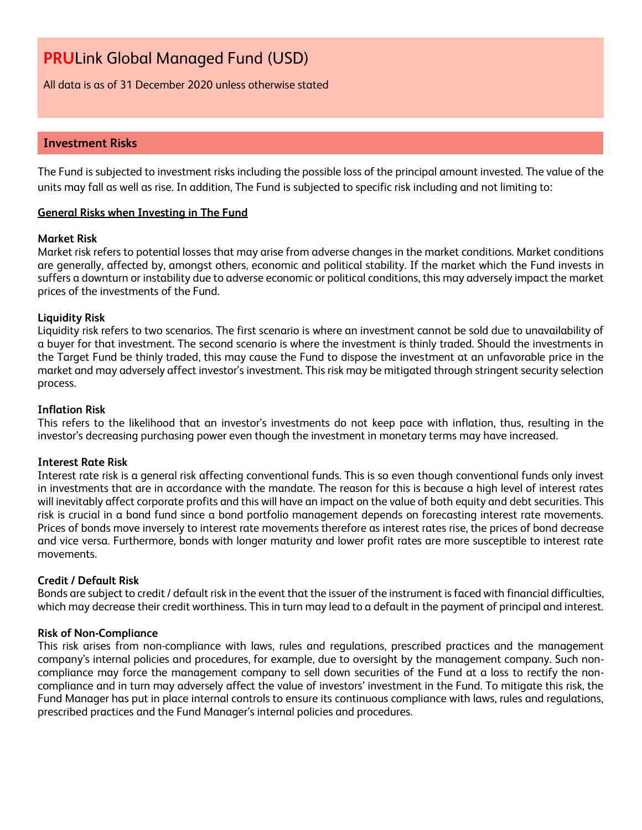All data is as of 31 December 2020 unless otherwise stated

## **Investment Risks**

The Fund is subjected to investment risks including the possible loss of the principal amount invested. The value of the units may fall as well as rise. In addition, The Fund is subjected to specific risk including and not limiting to:

## **General Risks when Investing in The Fund**

#### **Market Risk**

Market risk refers to potential losses that may arise from adverse changes in the market conditions. Market conditions are generally, affected by, amongst others, economic and political stability. If the market which the Fund invests in suffers a downturn or instability due to adverse economic or political conditions, this may adversely impact the market prices of the investments of the Fund.

## **Liquidity Risk**

Liquidity risk refers to two scenarios. The first scenario is where an investment cannot be sold due to unavailability of a buyer for that investment. The second scenario is where the investment is thinly traded. Should the investments in the Target Fund be thinly traded, this may cause the Fund to dispose the investment at an unfavorable price in the market and may adversely affect investor's investment. This risk may be mitigated through stringent security selection process.

## **Inflation Risk**

This refers to the likelihood that an investor's investments do not keep pace with inflation, thus, resulting in the investor's decreasing purchasing power even though the investment in monetary terms may have increased.

## **Interest Rate Risk**

Interest rate risk is a general risk affecting conventional funds. This is so even though conventional funds only invest in investments that are in accordance with the mandate. The reason for this is because a high level of interest rates will inevitably affect corporate profits and this will have an impact on the value of both equity and debt securities. This risk is crucial in a bond fund since a bond portfolio management depends on forecasting interest rate movements. Prices of bonds move inversely to interest rate movements therefore as interest rates rise, the prices of bond decrease and vice versa. Furthermore, bonds with longer maturity and lower profit rates are more susceptible to interest rate movements.

## **Credit / Default Risk**

Bonds are subject to credit / default risk in the event that the issuer of the instrument is faced with financial difficulties, which may decrease their credit worthiness. This in turn may lead to a default in the payment of principal and interest.

## **Risk of Non-Compliance**

This risk arises from non-compliance with laws, rules and regulations, prescribed practices and the management company's internal policies and procedures, for example, due to oversight by the management company. Such noncompliance may force the management company to sell down securities of the Fund at a loss to rectify the noncompliance and in turn may adversely affect the value of investors' investment in the Fund. To mitigate this risk, the Fund Manager has put in place internal controls to ensure its continuous compliance with laws, rules and regulations, prescribed practices and the Fund Manager's internal policies and procedures.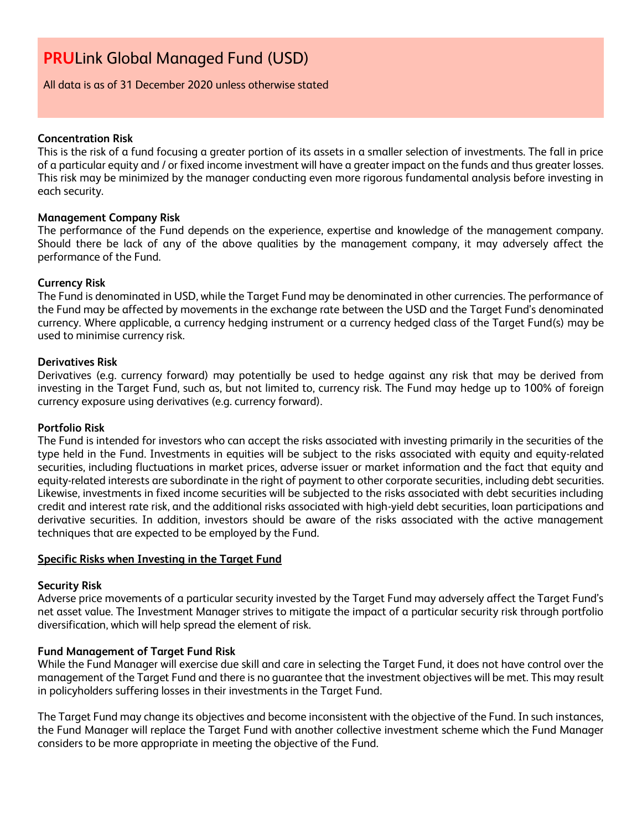## All data is as of 31 December 2020 unless otherwise stated

## **Concentration Risk**

This is the risk of a fund focusing a greater portion of its assets in a smaller selection of investments. The fall in price of a particular equity and / or fixed income investment will have a greater impact on the funds and thus greater losses. This risk may be minimized by the manager conducting even more rigorous fundamental analysis before investing in each security.

#### **Management Company Risk**

The performance of the Fund depends on the experience, expertise and knowledge of the management company. Should there be lack of any of the above qualities by the management company, it may adversely affect the performance of the Fund.

#### **Currency Risk**

The Fund is denominated in USD, while the Target Fund may be denominated in other currencies. The performance of the Fund may be affected by movements in the exchange rate between the USD and the Target Fund's denominated currency. Where applicable, a currency hedging instrument or a currency hedged class of the Target Fund(s) may be used to minimise currency risk.

#### **Derivatives Risk**

Derivatives (e.g. currency forward) may potentially be used to hedge against any risk that may be derived from investing in the Target Fund, such as, but not limited to, currency risk. The Fund may hedge up to 100% of foreign currency exposure using derivatives (e.g. currency forward).

#### **Portfolio Risk**

The Fund is intended for investors who can accept the risks associated with investing primarily in the securities of the type held in the Fund. Investments in equities will be subject to the risks associated with equity and equity-related securities, including fluctuations in market prices, adverse issuer or market information and the fact that equity and equity-related interests are subordinate in the right of payment to other corporate securities, including debt securities. Likewise, investments in fixed income securities will be subjected to the risks associated with debt securities including credit and interest rate risk, and the additional risks associated with high-yield debt securities, loan participations and derivative securities. In addition, investors should be aware of the risks associated with the active management techniques that are expected to be employed by the Fund.

## **Specific Risks when Investing in the Target Fund**

## **Security Risk**

Adverse price movements of a particular security invested by the Target Fund may adversely affect the Target Fund's net asset value. The Investment Manager strives to mitigate the impact of a particular security risk through portfolio diversification, which will help spread the element of risk.

## **Fund Management of Target Fund Risk**

While the Fund Manager will exercise due skill and care in selecting the Target Fund, it does not have control over the management of the Target Fund and there is no guarantee that the investment objectives will be met. This may result in policyholders suffering losses in their investments in the Target Fund.

The Target Fund may change its objectives and become inconsistent with the objective of the Fund. In such instances, the Fund Manager will replace the Target Fund with another collective investment scheme which the Fund Manager considers to be more appropriate in meeting the objective of the Fund.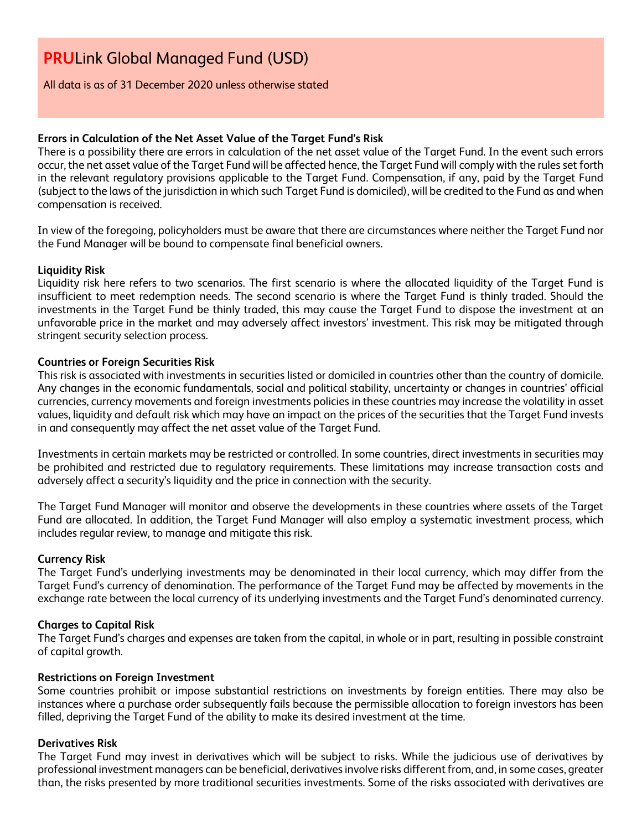All data is as of 31 December 2020 unless otherwise stated

## **Errors in Calculation of the Net Asset Value of the Target Fund's Risk**

There is a possibility there are errors in calculation of the net asset value of the Target Fund. In the event such errors occur, the net asset value of the Target Fund will be affected hence, the Target Fund will comply with the rules set forth in the relevant regulatory provisions applicable to the Target Fund. Compensation, if any, paid by the Target Fund (subject to the laws of the jurisdiction in which such Target Fund is domiciled), will be credited to the Fund as and when compensation is received.

In view of the foregoing, policyholders must be aware that there are circumstances where neither the Target Fund nor the Fund Manager will be bound to compensate final beneficial owners.

## **Liquidity Risk**

Liquidity risk here refers to two scenarios. The first scenario is where the allocated liquidity of the Target Fund is insufficient to meet redemption needs. The second scenario is where the Target Fund is thinly traded. Should the investments in the Target Fund be thinly traded, this may cause the Target Fund to dispose the investment at an unfavorable price in the market and may adversely affect investors' investment. This risk may be mitigated through stringent security selection process.

## **Countries or Foreign Securities Risk**

This risk is associated with investments in securities listed or domiciled in countries other than the country of domicile. Any changes in the economic fundamentals, social and political stability, uncertainty or changes in countries' official currencies, currency movements and foreign investments policies in these countries may increase the volatility in asset values, liquidity and default risk which may have an impact on the prices of the securities that the Target Fund invests in and consequently may affect the net asset value of the Target Fund.

Investments in certain markets may be restricted or controlled. In some countries, direct investments in securities may be prohibited and restricted due to regulatory requirements. These limitations may increase transaction costs and adversely affect a security's liquidity and the price in connection with the security.

The Target Fund Manager will monitor and observe the developments in these countries where assets of the Target Fund are allocated. In addition, the Target Fund Manager will also employ a systematic investment process, which includes regular review, to manage and mitigate this risk.

## **Currency Risk**

The Target Fund's underlying investments may be denominated in their local currency, which may differ from the Target Fund's currency of denomination. The performance of the Target Fund may be affected by movements in the exchange rate between the local currency of its underlying investments and the Target Fund's denominated currency.

## **Charges to Capital Risk**

The Target Fund's charges and expenses are taken from the capital, in whole or in part, resulting in possible constraint of capital growth.

## **Restrictions on Foreign Investment**

Some countries prohibit or impose substantial restrictions on investments by foreign entities. There may also be instances where a purchase order subsequently fails because the permissible allocation to foreign investors has been filled, depriving the Target Fund of the ability to make its desired investment at the time.

## **Derivatives Risk**

The Target Fund may invest in derivatives which will be subject to risks. While the judicious use of derivatives by professional investment managers can be beneficial, derivatives involve risks different from, and, in some cases, greater than, the risks presented by more traditional securities investments. Some of the risks associated with derivatives are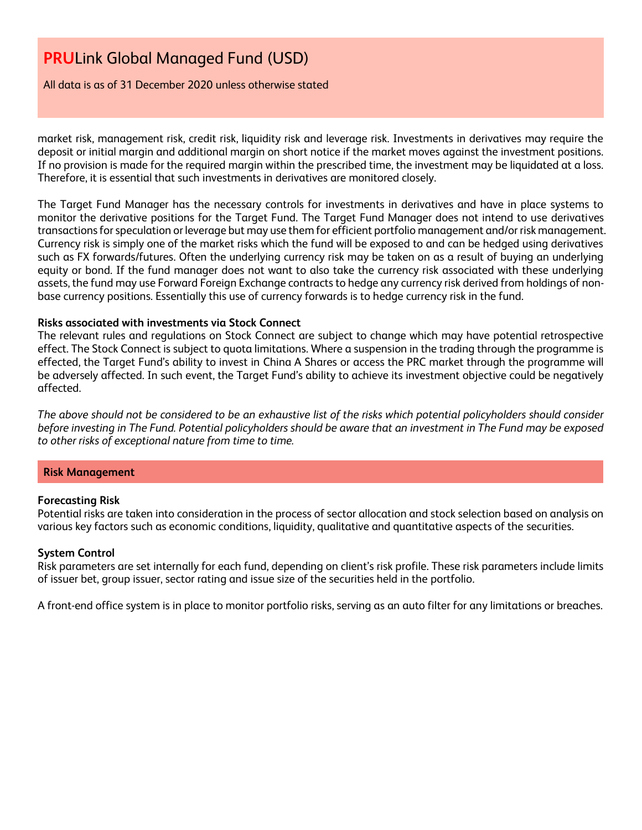All data is as of 31 December 2020 unless otherwise stated

market risk, management risk, credit risk, liquidity risk and leverage risk. Investments in derivatives may require the deposit or initial margin and additional margin on short notice if the market moves against the investment positions. If no provision is made for the required margin within the prescribed time, the investment may be liquidated at a loss. Therefore, it is essential that such investments in derivatives are monitored closely.

The Target Fund Manager has the necessary controls for investments in derivatives and have in place systems to monitor the derivative positions for the Target Fund. The Target Fund Manager does not intend to use derivatives transactions for speculation or leverage but may use them for efficient portfolio management and/or risk management. Currency risk is simply one of the market risks which the fund will be exposed to and can be hedged using derivatives such as FX forwards/futures. Often the underlying currency risk may be taken on as a result of buying an underlying equity or bond. If the fund manager does not want to also take the currency risk associated with these underlying assets, the fund may use Forward Foreign Exchange contracts to hedge any currency risk derived from holdings of nonbase currency positions. Essentially this use of currency forwards is to hedge currency risk in the fund.

## **Risks associated with investments via Stock Connect**

The relevant rules and regulations on Stock Connect are subject to change which may have potential retrospective effect. The Stock Connect is subject to quota limitations. Where a suspension in the trading through the programme is effected, the Target Fund's ability to invest in China A Shares or access the PRC market through the programme will be adversely affected. In such event, the Target Fund's ability to achieve its investment objective could be negatively affected.

*The above should not be considered to be an exhaustive list of the risks which potential policyholders should consider before investing in The Fund. Potential policyholders should be aware that an investment in The Fund may be exposed to other risks of exceptional nature from time to time.*

## **Risk Management**

## **Forecasting Risk**

Potential risks are taken into consideration in the process of sector allocation and stock selection based on analysis on various key factors such as economic conditions, liquidity, qualitative and quantitative aspects of the securities.

#### **System Control**

Risk parameters are set internally for each fund, depending on client's risk profile. These risk parameters include limits of issuer bet, group issuer, sector rating and issue size of the securities held in the portfolio.

A front-end office system is in place to monitor portfolio risks, serving as an auto filter for any limitations or breaches.